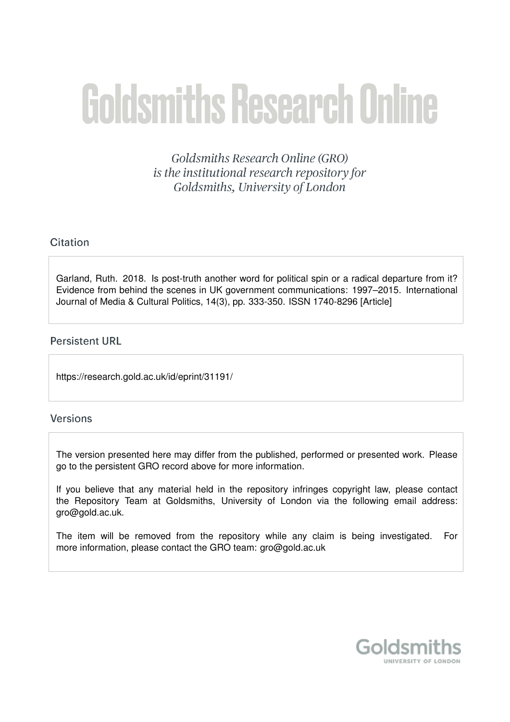# **Goldsmiths Research Online**

Goldsmiths Research Online (GRO) is the institutional research repository for Goldsmiths, University of London

# Citation

Garland, Ruth. 2018. Is post-truth another word for political spin or a radical departure from it? Evidence from behind the scenes in UK government communications: 1997–2015. International Journal of Media & Cultural Politics, 14(3), pp. 333-350. ISSN 1740-8296 [Article]

## **Persistent URL**

https://research.gold.ac.uk/id/eprint/31191/

## **Versions**

The version presented here may differ from the published, performed or presented work. Please go to the persistent GRO record above for more information.

If you believe that any material held in the repository infringes copyright law, please contact the Repository Team at Goldsmiths, University of London via the following email address: gro@gold.ac.uk.

The item will be removed from the repository while any claim is being investigated. For more information, please contact the GRO team: gro@gold.ac.uk

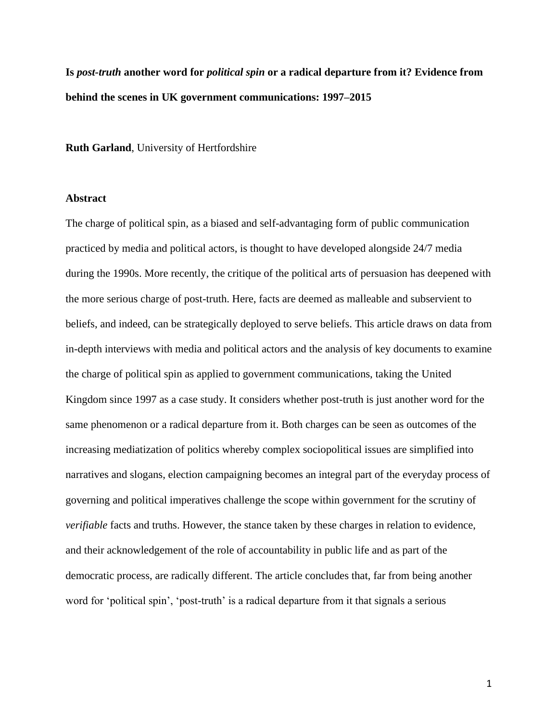**Is** *post-truth* **another word for** *political spin* **or a radical departure from it? Evidence from behind the scenes in UK government communications: 1997–2015**

**Ruth Garland**, University of Hertfordshire

#### **Abstract**

The charge of political spin, as a biased and self-advantaging form of public communication practiced by media and political actors, is thought to have developed alongside 24/7 media during the 1990s. More recently, the critique of the political arts of persuasion has deepened with the more serious charge of post-truth. Here, facts are deemed as malleable and subservient to beliefs, and indeed, can be strategically deployed to serve beliefs. This article draws on data from in-depth interviews with media and political actors and the analysis of key documents to examine the charge of political spin as applied to government communications, taking the United Kingdom since 1997 as a case study. It considers whether post-truth is just another word for the same phenomenon or a radical departure from it. Both charges can be seen as outcomes of the increasing mediatization of politics whereby complex sociopolitical issues are simplified into narratives and slogans, election campaigning becomes an integral part of the everyday process of governing and political imperatives challenge the scope within government for the scrutiny of *verifiable* facts and truths. However, the stance taken by these charges in relation to evidence, and their acknowledgement of the role of accountability in public life and as part of the democratic process, are radically different. The article concludes that, far from being another word for 'political spin', 'post-truth' is a radical departure from it that signals a serious

1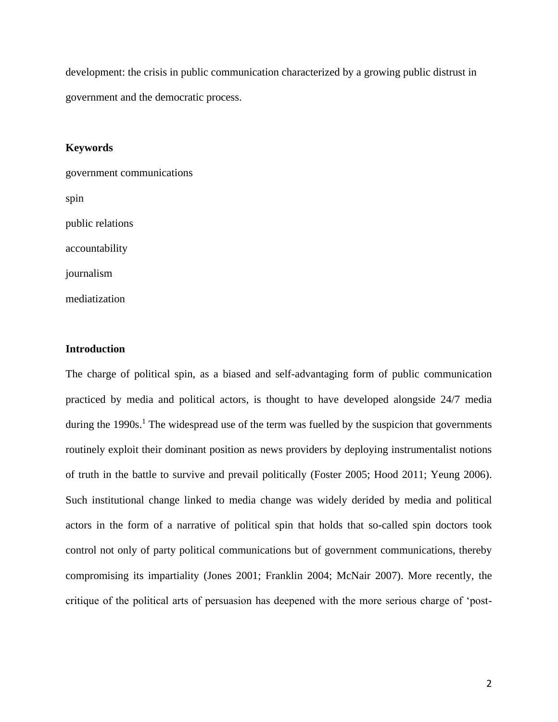development: the crisis in public communication characterized by a growing public distrust in government and the democratic process.

#### **Keywords**

government communications spin public relations accountability journalism

mediatization

## **Introduction**

The charge of political spin, as a biased and self-advantaging form of public communication practiced by media and political actors, is thought to have developed alongside 24/7 media during the 1990s.<sup>1</sup> The widespread use of the term was fuelled by the suspicion that governments routinely exploit their dominant position as news providers by deploying instrumentalist notions of truth in the battle to survive and prevail politically (Foster 2005; Hood 2011; Yeung 2006). Such institutional change linked to media change was widely derided by media and political actors in the form of a narrative of political spin that holds that so-called spin doctors took control not only of party political communications but of government communications, thereby compromising its impartiality (Jones 2001; Franklin 2004; McNair 2007). More recently, the critique of the political arts of persuasion has deepened with the more serious charge of 'post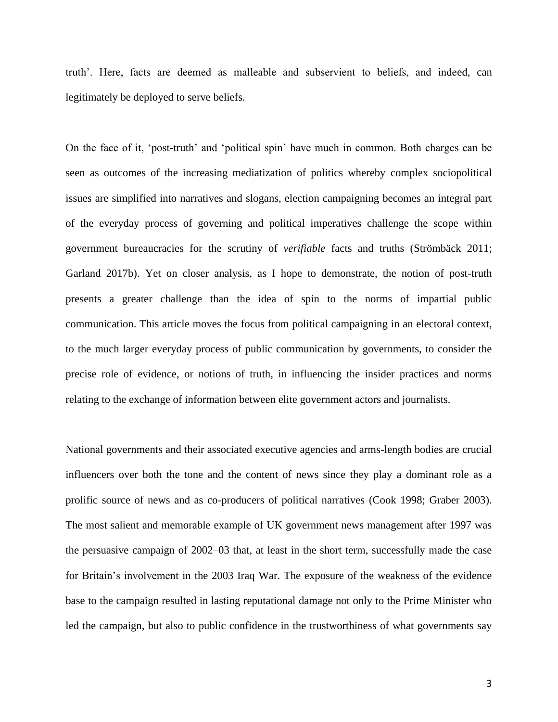truth'. Here, facts are deemed as malleable and subservient to beliefs, and indeed, can legitimately be deployed to serve beliefs.

On the face of it, 'post-truth' and 'political spin' have much in common. Both charges can be seen as outcomes of the increasing mediatization of politics whereby complex sociopolitical issues are simplified into narratives and slogans, election campaigning becomes an integral part of the everyday process of governing and political imperatives challenge the scope within government bureaucracies for the scrutiny of *verifiable* facts and truths (Strömbäck 2011; Garland 2017b). Yet on closer analysis, as I hope to demonstrate, the notion of post-truth presents a greater challenge than the idea of spin to the norms of impartial public communication. This article moves the focus from political campaigning in an electoral context, to the much larger everyday process of public communication by governments, to consider the precise role of evidence, or notions of truth, in influencing the insider practices and norms relating to the exchange of information between elite government actors and journalists.

National governments and their associated executive agencies and arms-length bodies are crucial influencers over both the tone and the content of news since they play a dominant role as a prolific source of news and as co-producers of political narratives (Cook 1998; Graber 2003). The most salient and memorable example of UK government news management after 1997 was the persuasive campaign of 2002–03 that, at least in the short term, successfully made the case for Britain's involvement in the 2003 Iraq War. The exposure of the weakness of the evidence base to the campaign resulted in lasting reputational damage not only to the Prime Minister who led the campaign, but also to public confidence in the trustworthiness of what governments say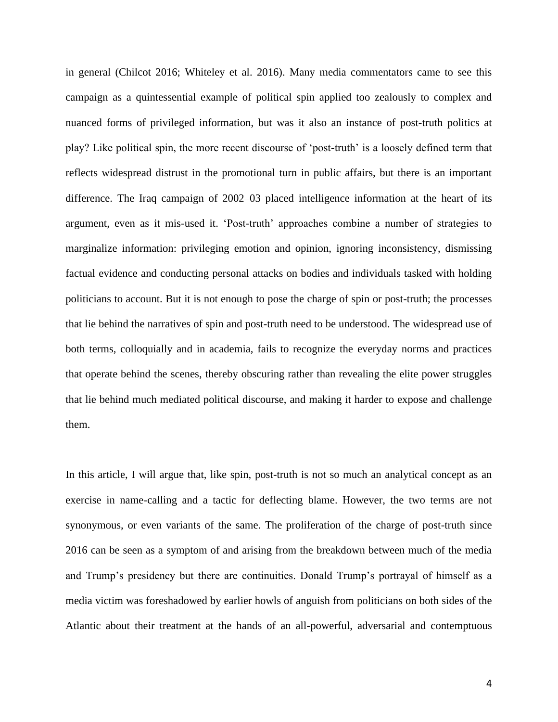in general (Chilcot 2016; Whiteley et al. 2016). Many media commentators came to see this campaign as a quintessential example of political spin applied too zealously to complex and nuanced forms of privileged information, but was it also an instance of post-truth politics at play? Like political spin, the more recent discourse of 'post-truth' is a loosely defined term that reflects widespread distrust in the promotional turn in public affairs, but there is an important difference. The Iraq campaign of 2002–03 placed intelligence information at the heart of its argument, even as it mis-used it. 'Post-truth' approaches combine a number of strategies to marginalize information: privileging emotion and opinion, ignoring inconsistency, dismissing factual evidence and conducting personal attacks on bodies and individuals tasked with holding politicians to account. But it is not enough to pose the charge of spin or post-truth; the processes that lie behind the narratives of spin and post-truth need to be understood. The widespread use of both terms, colloquially and in academia, fails to recognize the everyday norms and practices that operate behind the scenes, thereby obscuring rather than revealing the elite power struggles that lie behind much mediated political discourse, and making it harder to expose and challenge them.

In this article, I will argue that, like spin, post-truth is not so much an analytical concept as an exercise in name-calling and a tactic for deflecting blame. However, the two terms are not synonymous, or even variants of the same. The proliferation of the charge of post-truth since 2016 can be seen as a symptom of and arising from the breakdown between much of the media and Trump's presidency but there are continuities. Donald Trump's portrayal of himself as a media victim was foreshadowed by earlier howls of anguish from politicians on both sides of the Atlantic about their treatment at the hands of an all-powerful, adversarial and contemptuous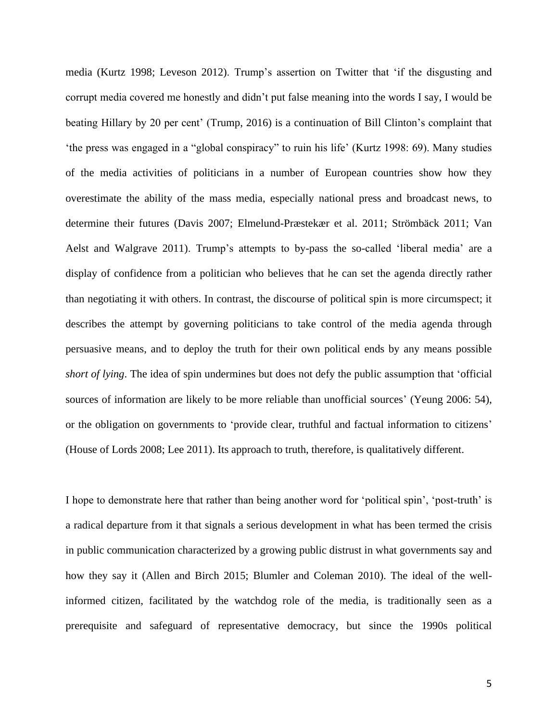media (Kurtz 1998; Leveson 2012). Trump's assertion on Twitter that 'if the disgusting and corrupt media covered me honestly and didn't put false meaning into the words I say, I would be beating Hillary by 20 per cent' (Trump, 2016) is a continuation of Bill Clinton's complaint that 'the press was engaged in a "global conspiracy" to ruin his life' (Kurtz 1998: 69). Many studies of the media activities of politicians in a number of European countries show how they overestimate the ability of the mass media, especially national press and broadcast news, to determine their futures (Davis 2007; Elmelund-Præstekær et al. 2011; Strömbäck 2011; Van Aelst and Walgrave 2011). Trump's attempts to by-pass the so-called 'liberal media' are a display of confidence from a politician who believes that he can set the agenda directly rather than negotiating it with others. In contrast, the discourse of political spin is more circumspect; it describes the attempt by governing politicians to take control of the media agenda through persuasive means, and to deploy the truth for their own political ends by any means possible *short of lying*. The idea of spin undermines but does not defy the public assumption that 'official sources of information are likely to be more reliable than unofficial sources' (Yeung 2006: 54), or the obligation on governments to 'provide clear, truthful and factual information to citizens' (House of Lords 2008; Lee 2011). Its approach to truth, therefore, is qualitatively different.

I hope to demonstrate here that rather than being another word for 'political spin', 'post-truth' is a radical departure from it that signals a serious development in what has been termed the crisis in public communication characterized by a growing public distrust in what governments say and how they say it (Allen and Birch 2015; Blumler and Coleman 2010). The ideal of the wellinformed citizen, facilitated by the watchdog role of the media, is traditionally seen as a prerequisite and safeguard of representative democracy, but since the 1990s political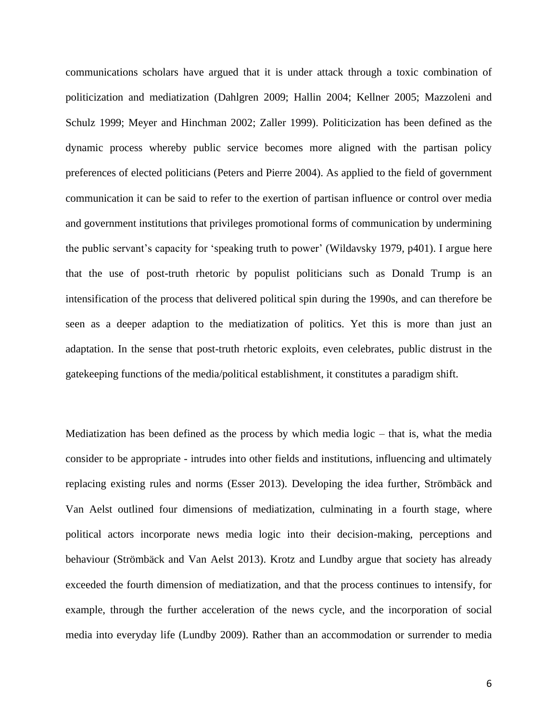communications scholars have argued that it is under attack through a toxic combination of politicization and mediatization (Dahlgren 2009; Hallin 2004; Kellner 2005; Mazzoleni and Schulz 1999; Meyer and Hinchman 2002; Zaller 1999). Politicization has been defined as the dynamic process whereby public service becomes more aligned with the partisan policy preferences of elected politicians (Peters and Pierre 2004). As applied to the field of government communication it can be said to refer to the exertion of partisan influence or control over media and government institutions that privileges promotional forms of communication by undermining the public servant's capacity for 'speaking truth to power' (Wildavsky 1979, p401). I argue here that the use of post-truth rhetoric by populist politicians such as Donald Trump is an intensification of the process that delivered political spin during the 1990s, and can therefore be seen as a deeper adaption to the mediatization of politics. Yet this is more than just an adaptation. In the sense that post-truth rhetoric exploits, even celebrates, public distrust in the gatekeeping functions of the media/political establishment, it constitutes a paradigm shift.

Mediatization has been defined as the process by which media logic – that is, what the media consider to be appropriate - intrudes into other fields and institutions, influencing and ultimately replacing existing rules and norms (Esser 2013). Developing the idea further, Strömbäck and Van Aelst outlined four dimensions of mediatization, culminating in a fourth stage, where political actors incorporate news media logic into their decision-making, perceptions and behaviour (Strömbäck and Van Aelst 2013). Krotz and Lundby argue that society has already exceeded the fourth dimension of mediatization, and that the process continues to intensify, for example, through the further acceleration of the news cycle, and the incorporation of social media into everyday life (Lundby 2009). Rather than an accommodation or surrender to media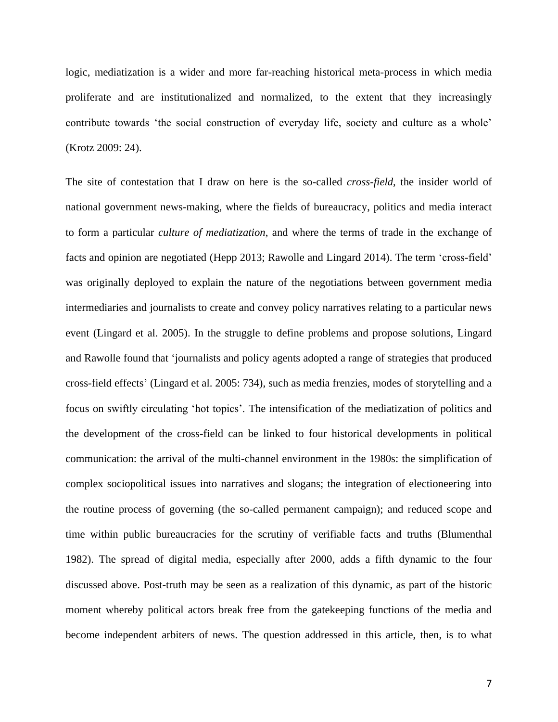logic, mediatization is a wider and more far-reaching historical meta-process in which media proliferate and are institutionalized and normalized, to the extent that they increasingly contribute towards 'the social construction of everyday life, society and culture as a whole' (Krotz 2009: 24).

The site of contestation that I draw on here is the so-called *cross-field*, the insider world of national government news-making, where the fields of bureaucracy, politics and media interact to form a particular *culture of mediatization*, and where the terms of trade in the exchange of facts and opinion are negotiated (Hepp 2013; Rawolle and Lingard 2014). The term 'cross-field' was originally deployed to explain the nature of the negotiations between government media intermediaries and journalists to create and convey policy narratives relating to a particular news event (Lingard et al. 2005). In the struggle to define problems and propose solutions, Lingard and Rawolle found that 'journalists and policy agents adopted a range of strategies that produced cross-field effects' (Lingard et al. 2005: 734), such as media frenzies, modes of storytelling and a focus on swiftly circulating 'hot topics'. The intensification of the mediatization of politics and the development of the cross-field can be linked to four historical developments in political communication: the arrival of the multi-channel environment in the 1980s: the simplification of complex sociopolitical issues into narratives and slogans; the integration of electioneering into the routine process of governing (the so-called permanent campaign); and reduced scope and time within public bureaucracies for the scrutiny of verifiable facts and truths (Blumenthal 1982). The spread of digital media, especially after 2000, adds a fifth dynamic to the four discussed above. Post-truth may be seen as a realization of this dynamic, as part of the historic moment whereby political actors break free from the gatekeeping functions of the media and become independent arbiters of news. The question addressed in this article, then, is to what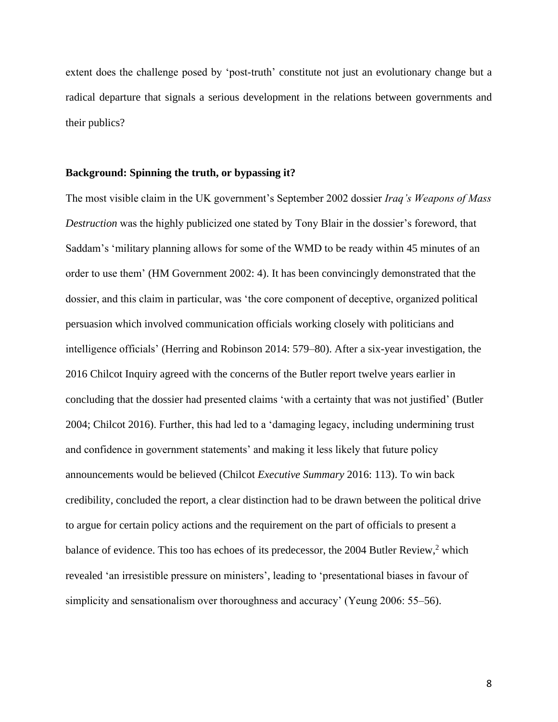extent does the challenge posed by 'post-truth' constitute not just an evolutionary change but a radical departure that signals a serious development in the relations between governments and their publics?

#### **Background: Spinning the truth, or bypassing it?**

The most visible claim in the UK government's September 2002 dossier *Iraq's Weapons of Mass Destruction* was the highly publicized one stated by Tony Blair in the dossier's foreword, that Saddam's 'military planning allows for some of the WMD to be ready within 45 minutes of an order to use them' (HM Government 2002: 4). It has been convincingly demonstrated that the dossier, and this claim in particular, was 'the core component of deceptive, organized political persuasion which involved communication officials working closely with politicians and intelligence officials' (Herring and Robinson 2014: 579–80). After a six-year investigation, the 2016 Chilcot Inquiry agreed with the concerns of the Butler report twelve years earlier in concluding that the dossier had presented claims 'with a certainty that was not justified' (Butler 2004; Chilcot 2016). Further, this had led to a 'damaging legacy, including undermining trust and confidence in government statements' and making it less likely that future policy announcements would be believed (Chilcot *Executive Summary* 2016: 113). To win back credibility, concluded the report, a clear distinction had to be drawn between the political drive to argue for certain policy actions and the requirement on the part of officials to present a balance of evidence. This too has echoes of its predecessor, the 2004 Butler Review,<sup>2</sup> which revealed 'an irresistible pressure on ministers', leading to 'presentational biases in favour of simplicity and sensationalism over thoroughness and accuracy' (Yeung 2006: 55–56).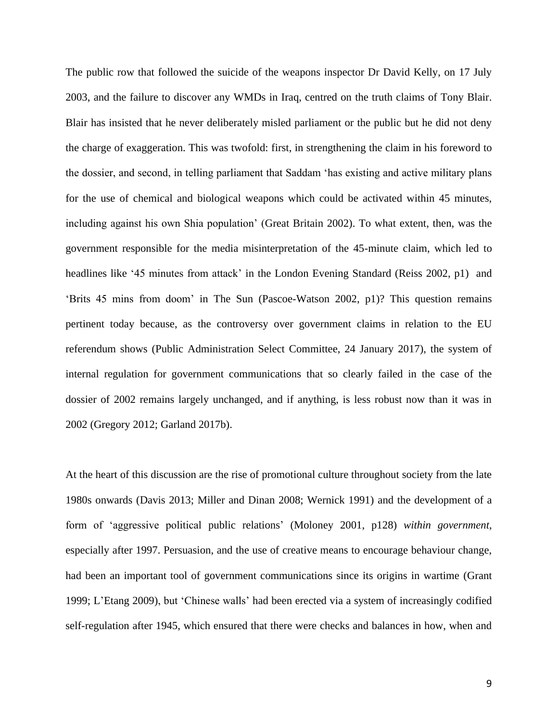The public row that followed the suicide of the weapons inspector Dr David Kelly, on 17 July 2003, and the failure to discover any WMDs in Iraq, centred on the truth claims of Tony Blair. Blair has insisted that he never deliberately misled parliament or the public but he did not deny the charge of exaggeration. This was twofold: first, in strengthening the claim in his foreword to the dossier, and second, in telling parliament that Saddam 'has existing and active military plans for the use of chemical and biological weapons which could be activated within 45 minutes, including against his own Shia population' (Great Britain 2002). To what extent, then, was the government responsible for the media misinterpretation of the 45-minute claim, which led to headlines like '45 minutes from attack' in the London Evening Standard (Reiss 2002, p1) and 'Brits 45 mins from doom' in The Sun (Pascoe-Watson 2002, p1)? This question remains pertinent today because, as the controversy over government claims in relation to the EU referendum shows (Public Administration Select Committee, 24 January 2017), the system of internal regulation for government communications that so clearly failed in the case of the dossier of 2002 remains largely unchanged, and if anything, is less robust now than it was in 2002 (Gregory 2012; Garland 2017b).

At the heart of this discussion are the rise of promotional culture throughout society from the late 1980s onwards (Davis 2013; Miller and Dinan 2008; Wernick 1991) and the development of a form of 'aggressive political public relations' (Moloney 2001, p128) *within government*, especially after 1997. Persuasion, and the use of creative means to encourage behaviour change, had been an important tool of government communications since its origins in wartime (Grant 1999; L'Etang 2009), but 'Chinese walls' had been erected via a system of increasingly codified self-regulation after 1945, which ensured that there were checks and balances in how, when and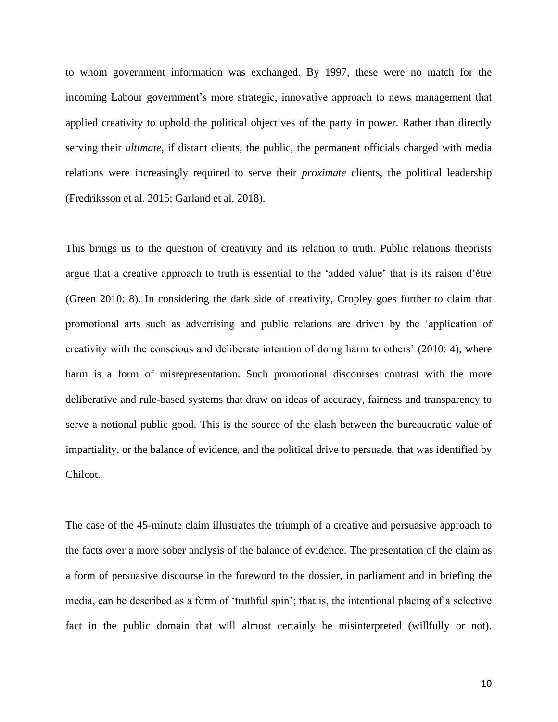to whom government information was exchanged. By 1997, these were no match for the incoming Labour government's more strategic, innovative approach to news management that applied creativity to uphold the political objectives of the party in power. Rather than directly serving their *ultimate*, if distant clients, the public, the permanent officials charged with media relations were increasingly required to serve their *proximate* clients, the political leadership (Fredriksson et al. 2015; Garland et al. 2018).

This brings us to the question of creativity and its relation to truth. Public relations theorists argue that a creative approach to truth is essential to the 'added value' that is its raison d'être (Green 2010: 8). In considering the dark side of creativity, Cropley goes further to claim that promotional arts such as advertising and public relations are driven by the 'application of creativity with the conscious and deliberate intention of doing harm to others' (2010: 4), where harm is a form of misrepresentation. Such promotional discourses contrast with the more deliberative and rule-based systems that draw on ideas of accuracy, fairness and transparency to serve a notional public good. This is the source of the clash between the bureaucratic value of impartiality, or the balance of evidence, and the political drive to persuade, that was identified by Chilcot.

The case of the 45-minute claim illustrates the triumph of a creative and persuasive approach to the facts over a more sober analysis of the balance of evidence. The presentation of the claim as a form of persuasive discourse in the foreword to the dossier, in parliament and in briefing the media, can be described as a form of 'truthful spin'; that is, the intentional placing of a selective fact in the public domain that will almost certainly be misinterpreted (willfully or not).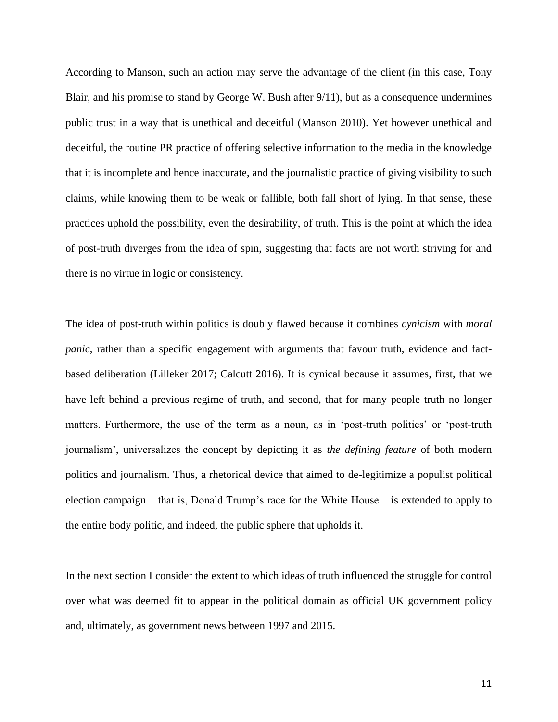According to Manson, such an action may serve the advantage of the client (in this case, Tony Blair, and his promise to stand by George W. Bush after 9/11), but as a consequence undermines public trust in a way that is unethical and deceitful (Manson 2010). Yet however unethical and deceitful, the routine PR practice of offering selective information to the media in the knowledge that it is incomplete and hence inaccurate, and the journalistic practice of giving visibility to such claims, while knowing them to be weak or fallible, both fall short of lying. In that sense, these practices uphold the possibility, even the desirability, of truth. This is the point at which the idea of post-truth diverges from the idea of spin, suggesting that facts are not worth striving for and there is no virtue in logic or consistency.

The idea of post-truth within politics is doubly flawed because it combines *cynicism* with *moral panic*, rather than a specific engagement with arguments that favour truth, evidence and factbased deliberation (Lilleker 2017; Calcutt 2016). It is cynical because it assumes, first, that we have left behind a previous regime of truth, and second, that for many people truth no longer matters. Furthermore, the use of the term as a noun, as in 'post-truth politics' or 'post-truth journalism', universalizes the concept by depicting it as *the defining feature* of both modern politics and journalism. Thus, a rhetorical device that aimed to de-legitimize a populist political election campaign – that is, Donald Trump's race for the White House – is extended to apply to the entire body politic, and indeed, the public sphere that upholds it.

In the next section I consider the extent to which ideas of truth influenced the struggle for control over what was deemed fit to appear in the political domain as official UK government policy and, ultimately, as government news between 1997 and 2015.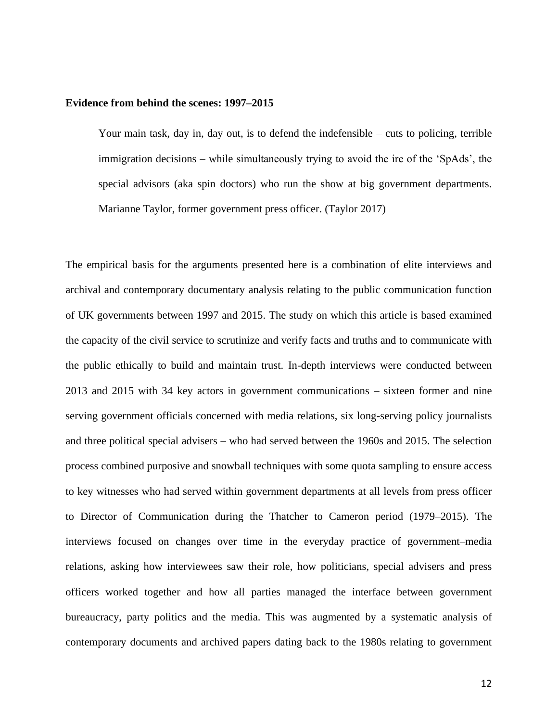#### **Evidence from behind the scenes: 1997–2015**

Your main task, day in, day out, is to defend the indefensible – cuts to policing, terrible immigration decisions – while simultaneously trying to avoid the ire of the 'SpAds', the special advisors (aka spin doctors) who run the show at big government departments. Marianne Taylor, former government press officer. (Taylor 2017)

The empirical basis for the arguments presented here is a combination of elite interviews and archival and contemporary documentary analysis relating to the public communication function of UK governments between 1997 and 2015. The study on which this article is based examined the capacity of the civil service to scrutinize and verify facts and truths and to communicate with the public ethically to build and maintain trust. In-depth interviews were conducted between 2013 and 2015 with 34 key actors in government communications – sixteen former and nine serving government officials concerned with media relations, six long-serving policy journalists and three political special advisers – who had served between the 1960s and 2015. The selection process combined purposive and snowball techniques with some quota sampling to ensure access to key witnesses who had served within government departments at all levels from press officer to Director of Communication during the Thatcher to Cameron period (1979–2015). The interviews focused on changes over time in the everyday practice of government–media relations, asking how interviewees saw their role, how politicians, special advisers and press officers worked together and how all parties managed the interface between government bureaucracy, party politics and the media. This was augmented by a systematic analysis of contemporary documents and archived papers dating back to the 1980s relating to government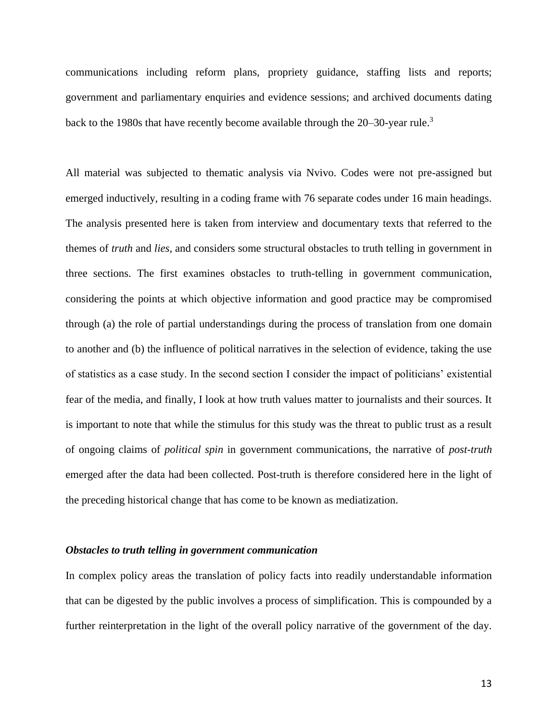communications including reform plans, propriety guidance, staffing lists and reports; government and parliamentary enquiries and evidence sessions; and archived documents dating back to the 1980s that have recently become available through the 20–30-year rule.<sup>3</sup>

All material was subjected to thematic analysis via Nvivo. Codes were not pre-assigned but emerged inductively, resulting in a coding frame with 76 separate codes under 16 main headings. The analysis presented here is taken from interview and documentary texts that referred to the themes of *truth* and *lies*, and considers some structural obstacles to truth telling in government in three sections. The first examines obstacles to truth-telling in government communication, considering the points at which objective information and good practice may be compromised through (a) the role of partial understandings during the process of translation from one domain to another and (b) the influence of political narratives in the selection of evidence, taking the use of statistics as a case study. In the second section I consider the impact of politicians' existential fear of the media, and finally, I look at how truth values matter to journalists and their sources. It is important to note that while the stimulus for this study was the threat to public trust as a result of ongoing claims of *political spin* in government communications, the narrative of *post-truth* emerged after the data had been collected. Post-truth is therefore considered here in the light of the preceding historical change that has come to be known as mediatization.

#### *Obstacles to truth telling in government communication*

In complex policy areas the translation of policy facts into readily understandable information that can be digested by the public involves a process of simplification. This is compounded by a further reinterpretation in the light of the overall policy narrative of the government of the day.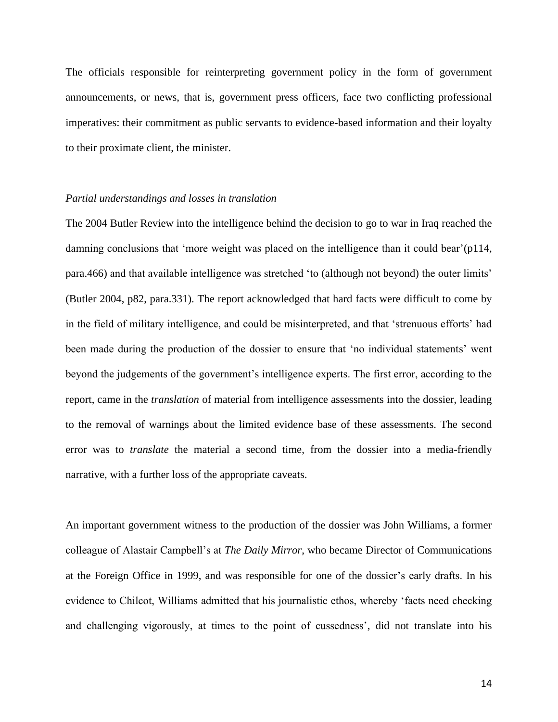The officials responsible for reinterpreting government policy in the form of government announcements, or news, that is, government press officers, face two conflicting professional imperatives: their commitment as public servants to evidence-based information and their loyalty to their proximate client, the minister.

#### *Partial understandings and losses in translation*

The 2004 Butler Review into the intelligence behind the decision to go to war in Iraq reached the damning conclusions that 'more weight was placed on the intelligence than it could bear'(p114, para.466) and that available intelligence was stretched 'to (although not beyond) the outer limits' (Butler 2004, p82, para.331). The report acknowledged that hard facts were difficult to come by in the field of military intelligence, and could be misinterpreted, and that 'strenuous efforts' had been made during the production of the dossier to ensure that 'no individual statements' went beyond the judgements of the government's intelligence experts. The first error, according to the report, came in the *translation* of material from intelligence assessments into the dossier, leading to the removal of warnings about the limited evidence base of these assessments. The second error was to *translate* the material a second time, from the dossier into a media-friendly narrative, with a further loss of the appropriate caveats.

An important government witness to the production of the dossier was John Williams, a former colleague of Alastair Campbell's at *The Daily Mirror*, who became Director of Communications at the Foreign Office in 1999, and was responsible for one of the dossier's early drafts. In his evidence to Chilcot, Williams admitted that his journalistic ethos, whereby 'facts need checking and challenging vigorously, at times to the point of cussedness', did not translate into his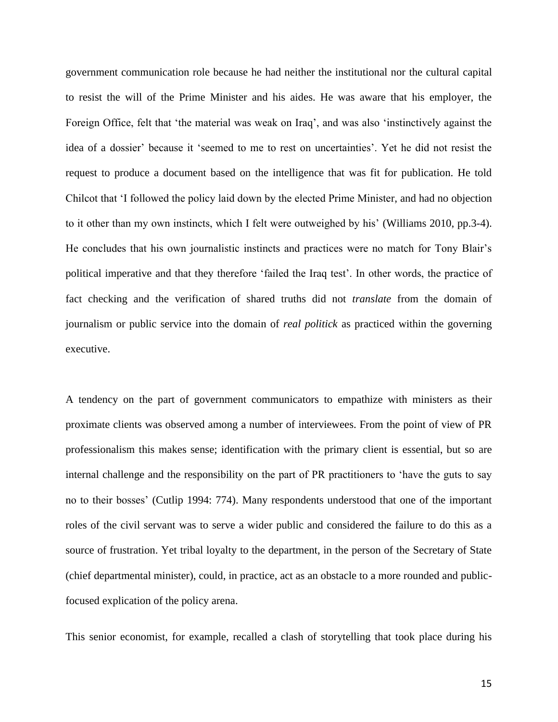government communication role because he had neither the institutional nor the cultural capital to resist the will of the Prime Minister and his aides. He was aware that his employer, the Foreign Office, felt that 'the material was weak on Iraq', and was also 'instinctively against the idea of a dossier' because it 'seemed to me to rest on uncertainties'. Yet he did not resist the request to produce a document based on the intelligence that was fit for publication. He told Chilcot that 'I followed the policy laid down by the elected Prime Minister, and had no objection to it other than my own instincts, which I felt were outweighed by his' (Williams 2010, pp.3-4). He concludes that his own journalistic instincts and practices were no match for Tony Blair's political imperative and that they therefore 'failed the Iraq test'. In other words, the practice of fact checking and the verification of shared truths did not *translate* from the domain of journalism or public service into the domain of *real politick* as practiced within the governing executive.

A tendency on the part of government communicators to empathize with ministers as their proximate clients was observed among a number of interviewees. From the point of view of PR professionalism this makes sense; identification with the primary client is essential, but so are internal challenge and the responsibility on the part of PR practitioners to 'have the guts to say no to their bosses' (Cutlip 1994: 774). Many respondents understood that one of the important roles of the civil servant was to serve a wider public and considered the failure to do this as a source of frustration. Yet tribal loyalty to the department, in the person of the Secretary of State (chief departmental minister), could, in practice, act as an obstacle to a more rounded and publicfocused explication of the policy arena.

This senior economist, for example, recalled a clash of storytelling that took place during his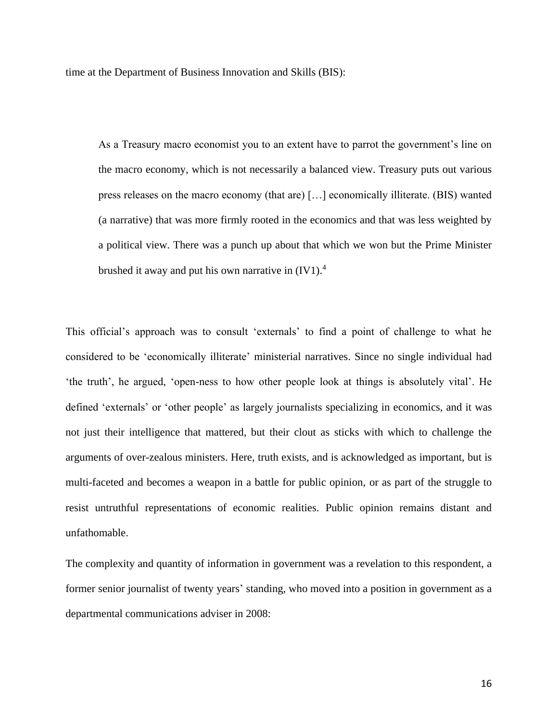time at the Department of Business Innovation and Skills (BIS):

As a Treasury macro economist you to an extent have to parrot the government's line on the macro economy, which is not necessarily a balanced view. Treasury puts out various press releases on the macro economy (that are) […] economically illiterate. (BIS) wanted (a narrative) that was more firmly rooted in the economics and that was less weighted by a political view. There was a punch up about that which we won but the Prime Minister brushed it away and put his own narrative in  $(IV1).<sup>4</sup>$ 

This official's approach was to consult 'externals' to find a point of challenge to what he considered to be 'economically illiterate' ministerial narratives. Since no single individual had 'the truth', he argued, 'open-ness to how other people look at things is absolutely vital'. He defined 'externals' or 'other people' as largely journalists specializing in economics, and it was not just their intelligence that mattered, but their clout as sticks with which to challenge the arguments of over-zealous ministers. Here, truth exists, and is acknowledged as important, but is multi-faceted and becomes a weapon in a battle for public opinion, or as part of the struggle to resist untruthful representations of economic realities. Public opinion remains distant and unfathomable.

The complexity and quantity of information in government was a revelation to this respondent, a former senior journalist of twenty years' standing, who moved into a position in government as a departmental communications adviser in 2008: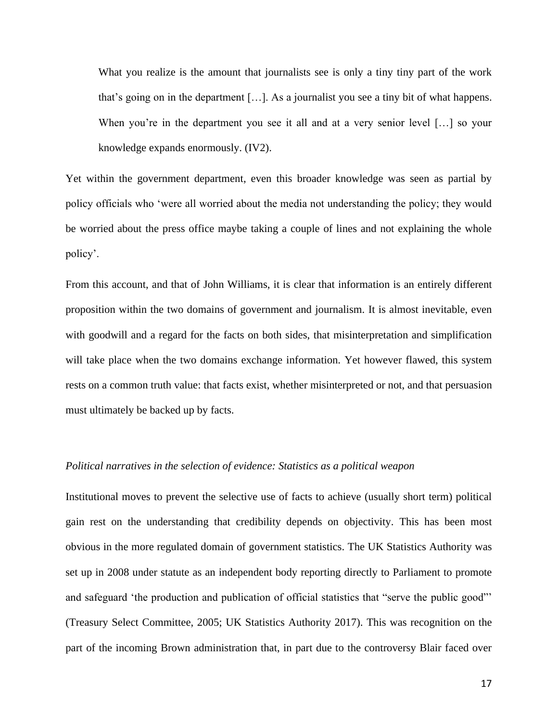What you realize is the amount that journalists see is only a tiny tiny part of the work that's going on in the department […]. As a journalist you see a tiny bit of what happens. When you're in the department you see it all and at a very senior level [...] so your knowledge expands enormously. (IV2).

Yet within the government department, even this broader knowledge was seen as partial by policy officials who 'were all worried about the media not understanding the policy; they would be worried about the press office maybe taking a couple of lines and not explaining the whole policy'.

From this account, and that of John Williams, it is clear that information is an entirely different proposition within the two domains of government and journalism. It is almost inevitable, even with goodwill and a regard for the facts on both sides, that misinterpretation and simplification will take place when the two domains exchange information. Yet however flawed, this system rests on a common truth value: that facts exist, whether misinterpreted or not, and that persuasion must ultimately be backed up by facts.

#### *Political narratives in the selection of evidence: Statistics as a political weapon*

Institutional moves to prevent the selective use of facts to achieve (usually short term) political gain rest on the understanding that credibility depends on objectivity. This has been most obvious in the more regulated domain of government statistics. The UK Statistics Authority was set up in 2008 under statute as an independent body reporting directly to Parliament to promote and safeguard 'the production and publication of official statistics that "serve the public good"' (Treasury Select Committee, 2005; UK Statistics Authority 2017). This was recognition on the part of the incoming Brown administration that, in part due to the controversy Blair faced over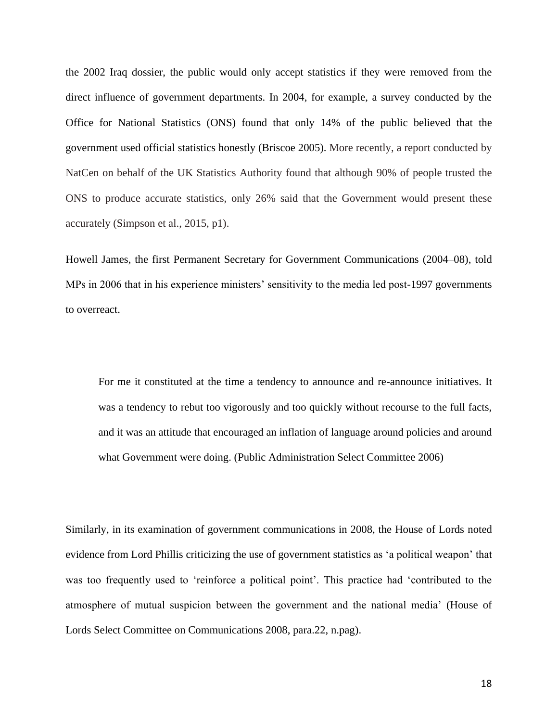the 2002 Iraq dossier, the public would only accept statistics if they were removed from the direct influence of government departments. In 2004, for example, a survey conducted by the Office for National Statistics (ONS) found that only 14% of the public believed that the government used official statistics honestly (Briscoe 2005). More recently, a report conducted by NatCen on behalf of the UK Statistics Authority found that although 90% of people trusted the ONS to produce accurate statistics, only 26% said that the Government would present these accurately (Simpson et al., 2015, p1).

Howell James, the first Permanent Secretary for Government Communications (2004–08), told MPs in 2006 that in his experience ministers' sensitivity to the media led post-1997 governments to overreact.

For me it constituted at the time a tendency to announce and re-announce initiatives. It was a tendency to rebut too vigorously and too quickly without recourse to the full facts, and it was an attitude that encouraged an inflation of language around policies and around what Government were doing. (Public Administration Select Committee 2006)

Similarly, in its examination of government communications in 2008, the House of Lords noted evidence from Lord Phillis criticizing the use of government statistics as 'a political weapon' that was too frequently used to 'reinforce a political point'. This practice had 'contributed to the atmosphere of mutual suspicion between the government and the national media' (House of Lords Select Committee on Communications 2008, para.22, n.pag).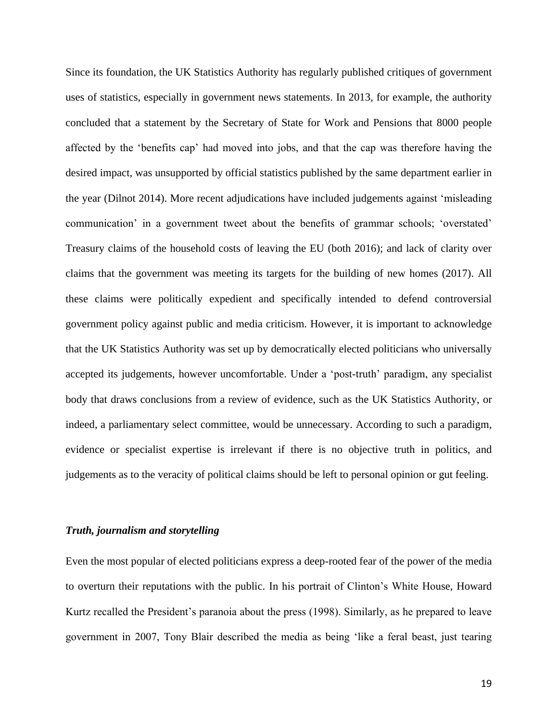Since its foundation, the UK Statistics Authority has regularly published critiques of government uses of statistics, especially in government news statements. In 2013, for example, the authority concluded that a statement by the Secretary of State for Work and Pensions that 8000 people affected by the 'benefits cap' had moved into jobs, and that the cap was therefore having the desired impact, was unsupported by official statistics published by the same department earlier in the year (Dilnot 2014). More recent adjudications have included judgements against 'misleading communication' in a government tweet about the benefits of grammar schools; 'overstated' Treasury claims of the household costs of leaving the EU (both 2016); and lack of clarity over claims that the government was meeting its targets for the building of new homes (2017). All these claims were politically expedient and specifically intended to defend controversial government policy against public and media criticism. However, it is important to acknowledge that the UK Statistics Authority was set up by democratically elected politicians who universally accepted its judgements, however uncomfortable. Under a 'post-truth' paradigm, any specialist body that draws conclusions from a review of evidence, such as the UK Statistics Authority, or indeed, a parliamentary select committee, would be unnecessary. According to such a paradigm, evidence or specialist expertise is irrelevant if there is no objective truth in politics, and judgements as to the veracity of political claims should be left to personal opinion or gut feeling.

## *Truth, journalism and storytelling*

Even the most popular of elected politicians express a deep-rooted fear of the power of the media to overturn their reputations with the public. In his portrait of Clinton's White House, Howard Kurtz recalled the President's paranoia about the press (1998). Similarly, as he prepared to leave government in 2007, Tony Blair described the media as being 'like a feral beast, just tearing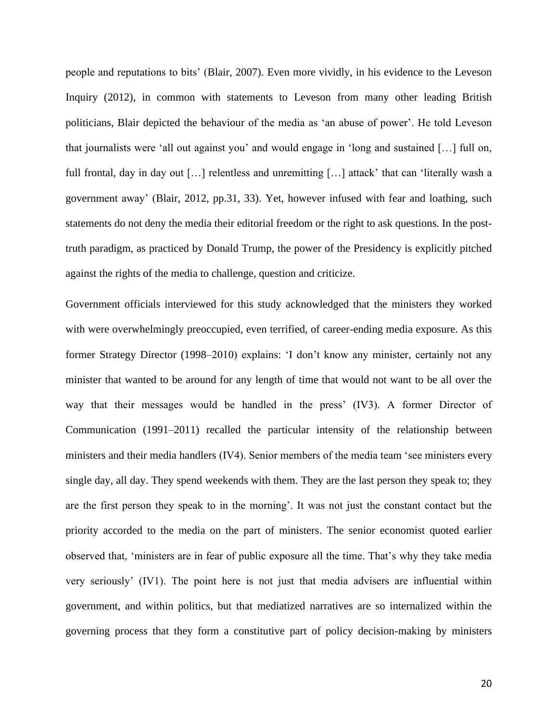people and reputations to bits' (Blair, 2007). Even more vividly, in his evidence to the Leveson Inquiry (2012), in common with statements to Leveson from many other leading British politicians, Blair depicted the behaviour of the media as 'an abuse of power'. He told Leveson that journalists were 'all out against you' and would engage in 'long and sustained […] full on, full frontal, day in day out […] relentless and unremitting […] attack' that can 'literally wash a government away' (Blair, 2012, pp.31, 33). Yet, however infused with fear and loathing, such statements do not deny the media their editorial freedom or the right to ask questions. In the posttruth paradigm, as practiced by Donald Trump, the power of the Presidency is explicitly pitched against the rights of the media to challenge, question and criticize.

Government officials interviewed for this study acknowledged that the ministers they worked with were overwhelmingly preoccupied, even terrified, of career-ending media exposure. As this former Strategy Director (1998–2010) explains: 'I don't know any minister, certainly not any minister that wanted to be around for any length of time that would not want to be all over the way that their messages would be handled in the press' (IV3). A former Director of Communication (1991–2011) recalled the particular intensity of the relationship between ministers and their media handlers (IV4). Senior members of the media team 'see ministers every single day, all day. They spend weekends with them. They are the last person they speak to; they are the first person they speak to in the morning'. It was not just the constant contact but the priority accorded to the media on the part of ministers. The senior economist quoted earlier observed that, 'ministers are in fear of public exposure all the time. That's why they take media very seriously' (IV1). The point here is not just that media advisers are influential within government, and within politics, but that mediatized narratives are so internalized within the governing process that they form a constitutive part of policy decision-making by ministers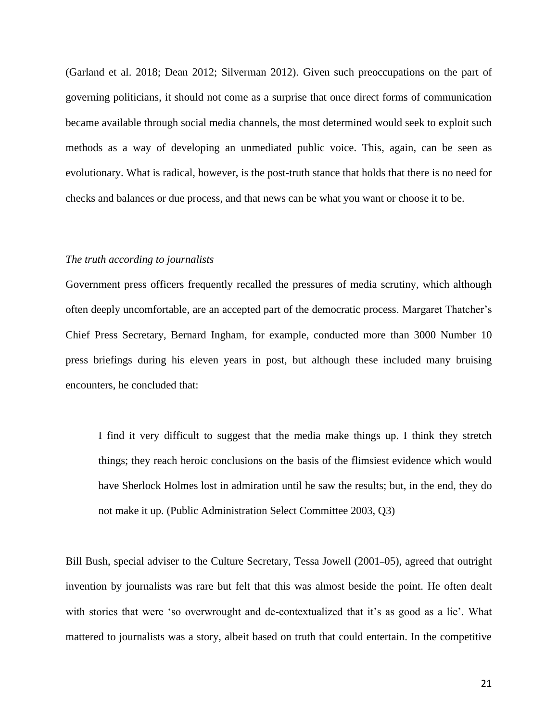(Garland et al. 2018; Dean 2012; Silverman 2012). Given such preoccupations on the part of governing politicians, it should not come as a surprise that once direct forms of communication became available through social media channels, the most determined would seek to exploit such methods as a way of developing an unmediated public voice. This, again, can be seen as evolutionary. What is radical, however, is the post-truth stance that holds that there is no need for checks and balances or due process, and that news can be what you want or choose it to be.

#### *The truth according to journalists*

Government press officers frequently recalled the pressures of media scrutiny, which although often deeply uncomfortable, are an accepted part of the democratic process. Margaret Thatcher's Chief Press Secretary, Bernard Ingham, for example, conducted more than 3000 Number 10 press briefings during his eleven years in post, but although these included many bruising encounters, he concluded that:

I find it very difficult to suggest that the media make things up. I think they stretch things; they reach heroic conclusions on the basis of the flimsiest evidence which would have Sherlock Holmes lost in admiration until he saw the results; but, in the end, they do not make it up. (Public Administration Select Committee 2003, Q3)

Bill Bush, special adviser to the Culture Secretary, Tessa Jowell (2001–05), agreed that outright invention by journalists was rare but felt that this was almost beside the point. He often dealt with stories that were 'so overwrought and de-contextualized that it's as good as a lie'. What mattered to journalists was a story, albeit based on truth that could entertain. In the competitive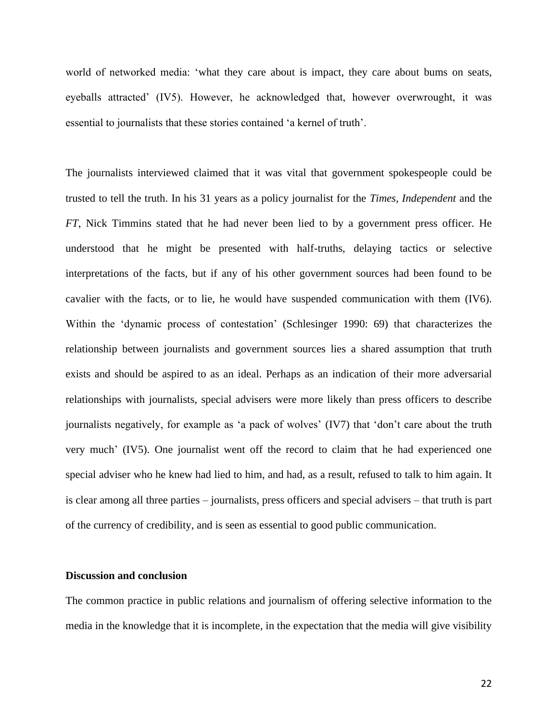world of networked media: 'what they care about is impact, they care about bums on seats, eyeballs attracted' (IV5). However, he acknowledged that, however overwrought, it was essential to journalists that these stories contained 'a kernel of truth'.

The journalists interviewed claimed that it was vital that government spokespeople could be trusted to tell the truth. In his 31 years as a policy journalist for the *Times, Independent* and the *FT*, Nick Timmins stated that he had never been lied to by a government press officer. He understood that he might be presented with half-truths, delaying tactics or selective interpretations of the facts, but if any of his other government sources had been found to be cavalier with the facts, or to lie, he would have suspended communication with them (IV6). Within the 'dynamic process of contestation' (Schlesinger 1990: 69) that characterizes the relationship between journalists and government sources lies a shared assumption that truth exists and should be aspired to as an ideal. Perhaps as an indication of their more adversarial relationships with journalists, special advisers were more likely than press officers to describe journalists negatively, for example as 'a pack of wolves' (IV7) that 'don't care about the truth very much' (IV5). One journalist went off the record to claim that he had experienced one special adviser who he knew had lied to him, and had, as a result, refused to talk to him again. It is clear among all three parties – journalists, press officers and special advisers – that truth is part of the currency of credibility, and is seen as essential to good public communication.

#### **Discussion and conclusion**

The common practice in public relations and journalism of offering selective information to the media in the knowledge that it is incomplete, in the expectation that the media will give visibility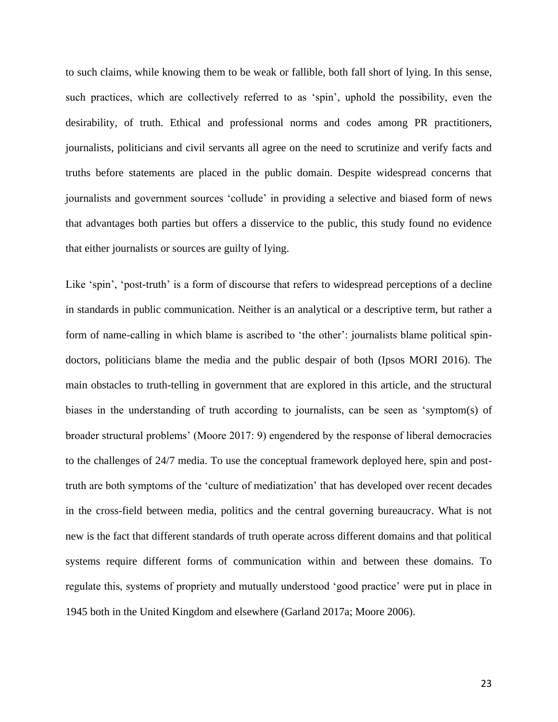to such claims, while knowing them to be weak or fallible, both fall short of lying. In this sense, such practices, which are collectively referred to as 'spin', uphold the possibility, even the desirability, of truth. Ethical and professional norms and codes among PR practitioners, journalists, politicians and civil servants all agree on the need to scrutinize and verify facts and truths before statements are placed in the public domain. Despite widespread concerns that journalists and government sources 'collude' in providing a selective and biased form of news that advantages both parties but offers a disservice to the public, this study found no evidence that either journalists or sources are guilty of lying.

Like 'spin', 'post-truth' is a form of discourse that refers to widespread perceptions of a decline in standards in public communication. Neither is an analytical or a descriptive term, but rather a form of name-calling in which blame is ascribed to 'the other': journalists blame political spindoctors, politicians blame the media and the public despair of both (Ipsos MORI 2016). The main obstacles to truth-telling in government that are explored in this article, and the structural biases in the understanding of truth according to journalists, can be seen as 'symptom(s) of broader structural problems' (Moore 2017: 9) engendered by the response of liberal democracies to the challenges of 24/7 media. To use the conceptual framework deployed here, spin and posttruth are both symptoms of the 'culture of mediatization' that has developed over recent decades in the cross-field between media, politics and the central governing bureaucracy. What is not new is the fact that different standards of truth operate across different domains and that political systems require different forms of communication within and between these domains. To regulate this, systems of propriety and mutually understood 'good practice' were put in place in 1945 both in the United Kingdom and elsewhere (Garland 2017a; Moore 2006).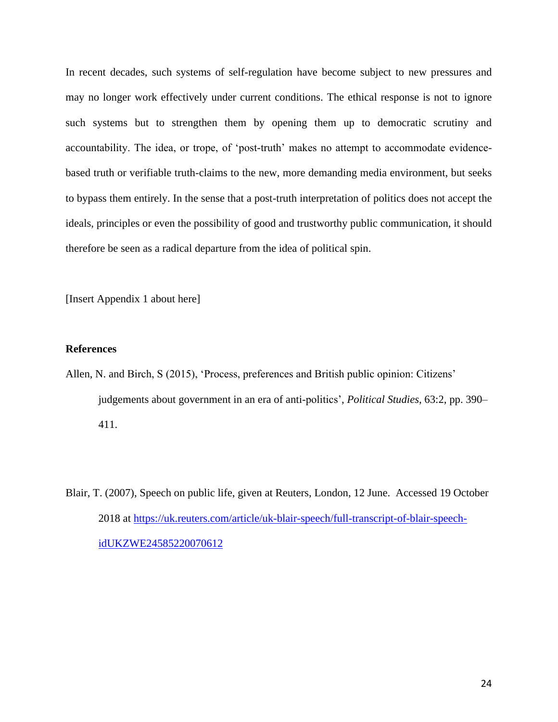In recent decades, such systems of self-regulation have become subject to new pressures and may no longer work effectively under current conditions. The ethical response is not to ignore such systems but to strengthen them by opening them up to democratic scrutiny and accountability. The idea, or trope, of 'post-truth' makes no attempt to accommodate evidencebased truth or verifiable truth-claims to the new, more demanding media environment, but seeks to bypass them entirely. In the sense that a post-truth interpretation of politics does not accept the ideals, principles or even the possibility of good and trustworthy public communication, it should therefore be seen as a radical departure from the idea of political spin.

[Insert Appendix 1 about here]

## **References**

- Allen, N. and Birch, S (2015), 'Process, preferences and British public opinion: Citizens' judgements about government in an era of anti-politics', *Political Studies*, 63:2, pp. 390– 411.
- Blair, T. (2007), Speech on public life, given at Reuters, London, 12 June. Accessed 19 October 2018 at [https://uk.reuters.com/article/uk-blair-speech/full-transcript-of-blair-speech](https://uk.reuters.com/article/uk-blair-speech/full-transcript-of-blair-speech-idUKZWE24585220070612)[idUKZWE24585220070612](https://uk.reuters.com/article/uk-blair-speech/full-transcript-of-blair-speech-idUKZWE24585220070612)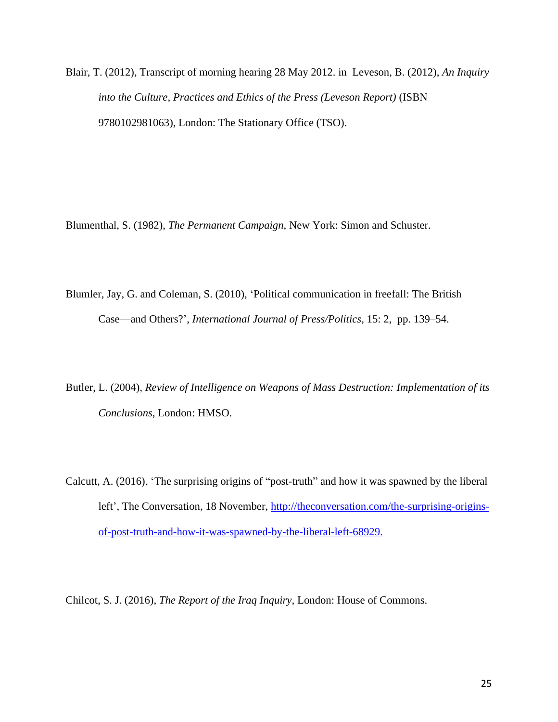Blair, T. (2012), Transcript of morning hearing 28 May 2012. in Leveson, B. (2012), *An Inquiry into the Culture, Practices and Ethics of the Press (Leveson Report)* (ISBN 9780102981063), London: The Stationary Office (TSO).

Blumenthal, S. (1982), *The Permanent Campaign*, New York: Simon and Schuster.

Blumler, Jay, G. and Coleman, S. (2010), 'Political communication in freefall: The British Case—and Others?', *International Journal of Press/Politics*, 15: 2, pp. 139–54.

Butler, L. (2004), *Review of Intelligence on Weapons of Mass Destruction: Implementation of its Conclusions*, London: HMSO.

Calcutt, A. (2016), 'The surprising origins of "post-truth" and how it was spawned by the liberal left', The Conversation, 18 November, [http://theconversation.com/the-surprising-origins](http://theconversation.com/the-surprising-origins-of-post-truth-and-how-it-was-spawned-by-the-liberal-left-68929)[of-post-truth-and-how-it-was-spawned-by-the-liberal-left-68929.](http://theconversation.com/the-surprising-origins-of-post-truth-and-how-it-was-spawned-by-the-liberal-left-68929)

Chilcot, S. J. (2016), *The Report of the Iraq Inquiry*, London: House of Commons.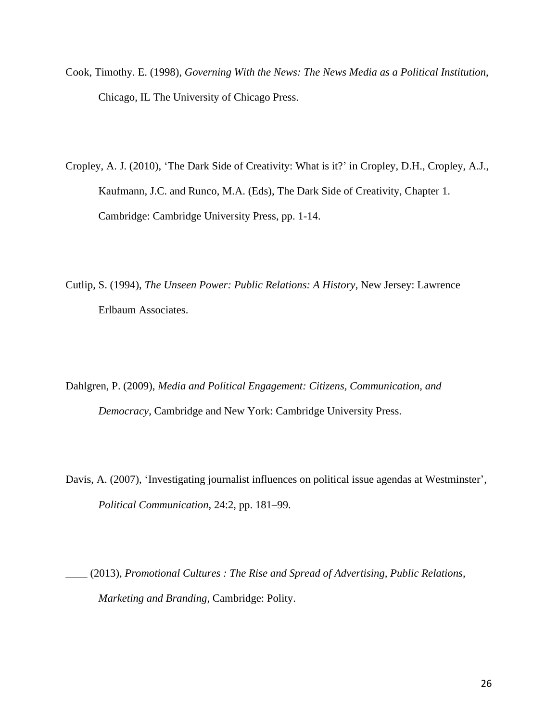- Cook, Timothy. E. (1998), *Governing With the News: The News Media as a Political Institution*, Chicago, IL The University of Chicago Press.
- Cropley, A. J. (2010), 'The Dark Side of Creativity: What is it?' in Cropley, D.H., Cropley, A.J., Kaufmann, J.C. and Runco, M.A. (Eds), The Dark Side of Creativity, Chapter 1. Cambridge: Cambridge University Press, pp. 1-14.
- Cutlip, S. (1994), *The Unseen Power: Public Relations: A History*, New Jersey: Lawrence Erlbaum Associates.
- Dahlgren, P. (2009), *Media and Political Engagement: Citizens, Communication, and Democracy*, Cambridge and New York: Cambridge University Press.
- Davis, A. (2007), 'Investigating journalist influences on political issue agendas at Westminster', *Political Communication*, 24:2, pp. 181–99.
- \_\_\_\_ (2013), *Promotional Cultures : The Rise and Spread of Advertising, Public Relations, Marketing and Branding*, Cambridge: Polity.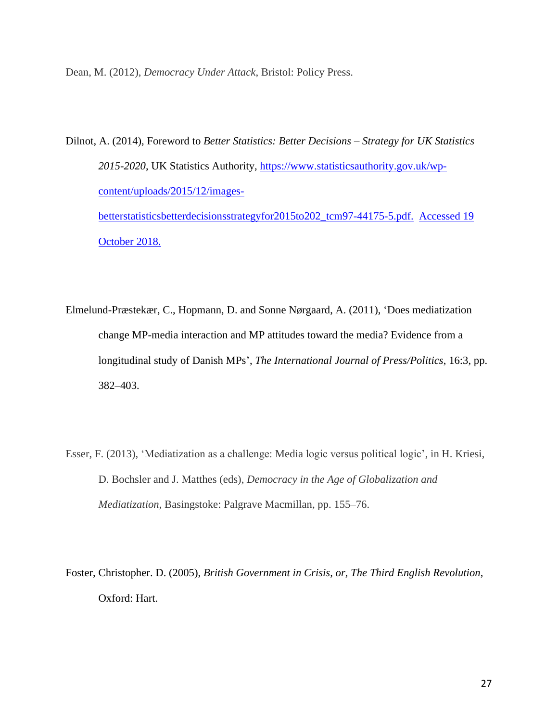Dean, M. (2012), *Democracy Under Attack*, Bristol: Policy Press.

October 2018.

- Dilnot, A. (2014), Foreword to *Better Statistics: Better Decisions – Strategy for UK Statistics 2015-2020*, UK Statistics Authority, [https://www.statisticsauthority.gov.uk/wp](https://www.statisticsauthority.gov.uk/wp-content/uploads/2015/12/images-betterstatisticsbetterdecisionsstrategyfor2015to202_tcm97-44175-5.pdf)[content/uploads/2015/12/images](https://www.statisticsauthority.gov.uk/wp-content/uploads/2015/12/images-betterstatisticsbetterdecisionsstrategyfor2015to202_tcm97-44175-5.pdf)[betterstatisticsbetterdecisionsstrategyfor2015to202\\_tcm97-44175-5.pdf.](https://www.statisticsauthority.gov.uk/wp-content/uploads/2015/12/images-betterstatisticsbetterdecisionsstrategyfor2015to202_tcm97-44175-5.pdf) Accessed 19
- Elmelund-Præstekær, C., Hopmann, D. and Sonne Nørgaard, A. (2011), 'Does mediatization change MP-media interaction and MP attitudes toward the media? Evidence from a longitudinal study of Danish MPs', *The International Journal of Press/Politics*, 16:3, pp. 382–403.
- Esser, F. (2013), 'Mediatization as a challenge: Media logic versus political logic', in H. Kriesi, D. Bochsler and J. Matthes (eds), *Democracy in the Age of Globalization and Mediatization*, Basingstoke: Palgrave Macmillan, pp. 155–76.
- Foster, Christopher. D. (2005), *British Government in Crisis, or, The Third English Revolution*, Oxford: Hart.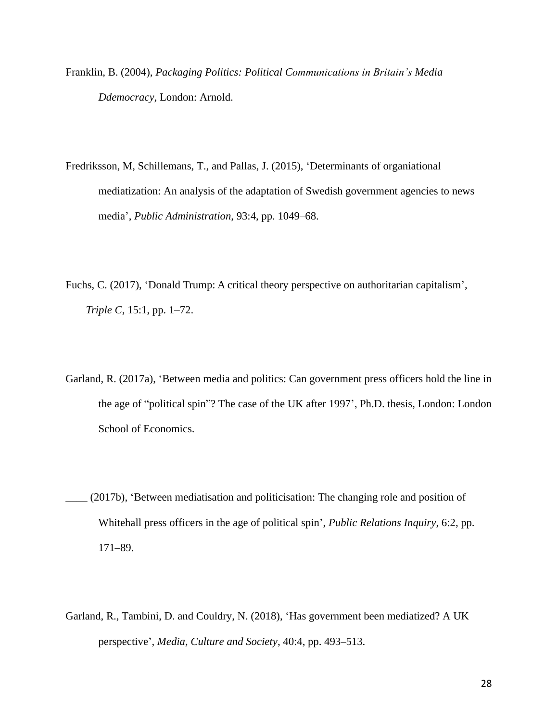- Franklin, B. (2004), *Packaging Politics: Political Communications in Britain's Media Ddemocracy*, London: Arnold.
- Fredriksson, M, Schillemans, T., and Pallas, J. (2015), 'Determinants of organiational mediatization: An analysis of the adaptation of Swedish government agencies to news media', *Public Administration*, 93:4, pp. 1049–68.
- Fuchs, C. (2017), 'Donald Trump: A critical theory perspective on authoritarian capitalism', *Triple C*, 15:1, pp. 1–72.
- Garland, R. (2017a), 'Between media and politics: Can government press officers hold the line in the age of "political spin"? The case of the UK after 1997', Ph.D. thesis, London: London School of Economics.
- \_\_\_\_ (2017b), 'Between mediatisation and politicisation: The changing role and position of Whitehall press officers in the age of political spin', *Public Relations Inquiry*, 6:2, pp. 171–89.
- Garland, R., Tambini, D. and Couldry, N. (2018), 'Has government been mediatized? A UK perspective', *Media, Culture and Society*, 40:4, pp. 493–513.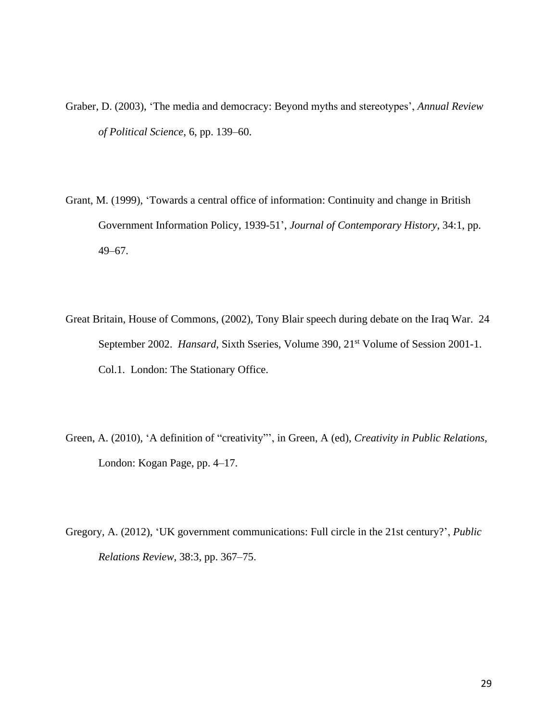- Graber, D. (2003), 'The media and democracy: Beyond myths and stereotypes', *Annual Review of Political Science*, 6, pp. 139–60.
- Grant, M. (1999), 'Towards a central office of information: Continuity and change in British Government Information Policy, 1939-51', *Journal of Contemporary History*, 34:1, pp. 49–67.
- Great Britain, House of Commons, (2002), Tony Blair speech during debate on the Iraq War. 24 September 2002. *Hansard*, Sixth Sseries, Volume 390, 21<sup>st</sup> Volume of Session 2001-1. Col.1. London: The Stationary Office.
- Green, A. (2010), 'A definition of "creativity"', in Green, A (ed), *Creativity in Public Relations*, London: Kogan Page, pp. 4–17.
- Gregory, A. (2012), 'UK government communications: Full circle in the 21st century?', *Public Relations Review*, 38:3, pp. 367–75.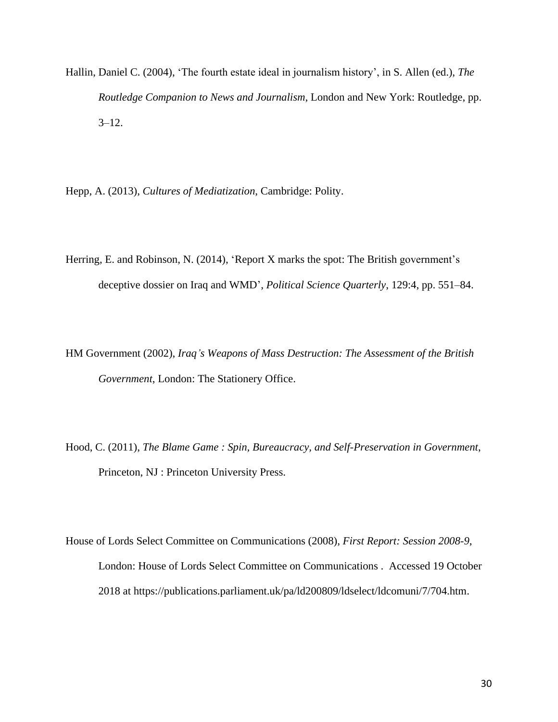Hallin, Daniel C. (2004), 'The fourth estate ideal in journalism history', in S. Allen (ed.), *The Routledge Companion to News and Journalism*, London and New York: Routledge, pp.  $3 - 12$ .

Hepp, A. (2013), *Cultures of Mediatization*, Cambridge: Polity.

- Herring, E. and Robinson, N. (2014), 'Report X marks the spot: The British government's deceptive dossier on Iraq and WMD', *Political Science Quarterly*, 129:4, pp. 551–84.
- HM Government (2002), *Iraq's Weapons of Mass Destruction: The Assessment of the British Government*, London: The Stationery Office.
- Hood, C. (2011), *The Blame Game : Spin, Bureaucracy, and Self-Preservation in Government*, Princeton, NJ : Princeton University Press.
- House of Lords Select Committee on Communications (2008), *First Report: Session 2008-9*, London: House of Lords Select Committee on Communications . Accessed 19 October 2018 at https://publications.parliament.uk/pa/ld200809/ldselect/ldcomuni/7/704.htm.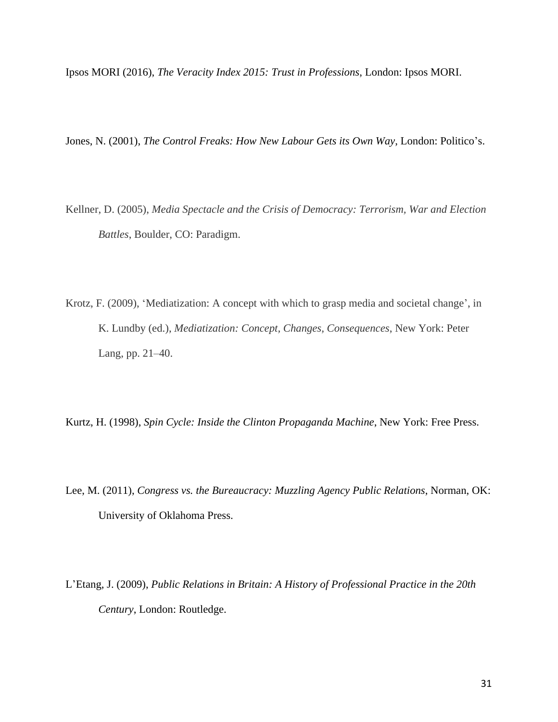Ipsos MORI (2016), *The Veracity Index 2015: Trust in Professions*, London: Ipsos MORI.

Jones, N. (2001), *The Control Freaks: How New Labour Gets its Own Way*, London: Politico's.

- Kellner, D. (2005), *Media Spectacle and the Crisis of Democracy: Terrorism, War and Election Battles*, Boulder, CO: Paradigm.
- Krotz, F. (2009), 'Mediatization: A concept with which to grasp media and societal change', in K. Lundby (ed.), *Mediatization: Concept, Changes, Consequences*, New York: Peter Lang, pp. 21–40.

Kurtz, H. (1998), *Spin Cycle: Inside the Clinton Propaganda Machine*, New York: Free Press.

- Lee, M. (2011), *Congress vs. the Bureaucracy: Muzzling Agency Public Relations*, Norman, OK: University of Oklahoma Press.
- L'Etang, J. (2009), *Public Relations in Britain: A History of Professional Practice in the 20th Century*, London: Routledge.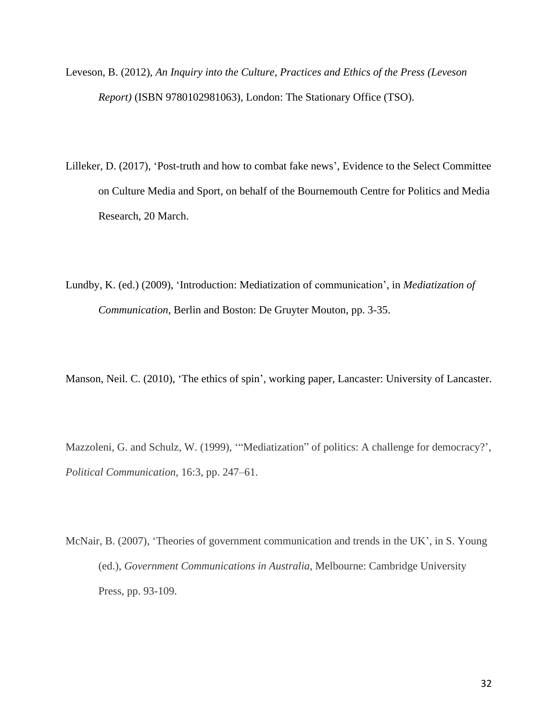- Leveson, B. (2012), *An Inquiry into the Culture, Practices and Ethics of the Press (Leveson Report)* (ISBN 9780102981063), London: The Stationary Office (TSO).
- Lilleker, D. (2017), 'Post-truth and how to combat fake news', Evidence to the Select Committee on Culture Media and Sport, on behalf of the Bournemouth Centre for Politics and Media Research, 20 March.
- Lundby, K. (ed.) (2009), 'Introduction: Mediatization of communication', in *Mediatization of Communication*, Berlin and Boston: De Gruyter Mouton, pp. 3-35.

Manson, Neil. C. (2010), 'The ethics of spin', working paper, Lancaster: University of Lancaster.

Mazzoleni, G. and Schulz, W. (1999), '"Mediatization" of politics: A challenge for democracy?', *Political Communication*, 16:3, pp. 247–61.

McNair, B. (2007), 'Theories of government communication and trends in the UK', in S. Young (ed.), *Government Communications in Australia*, Melbourne: Cambridge University Press, pp. 93-109.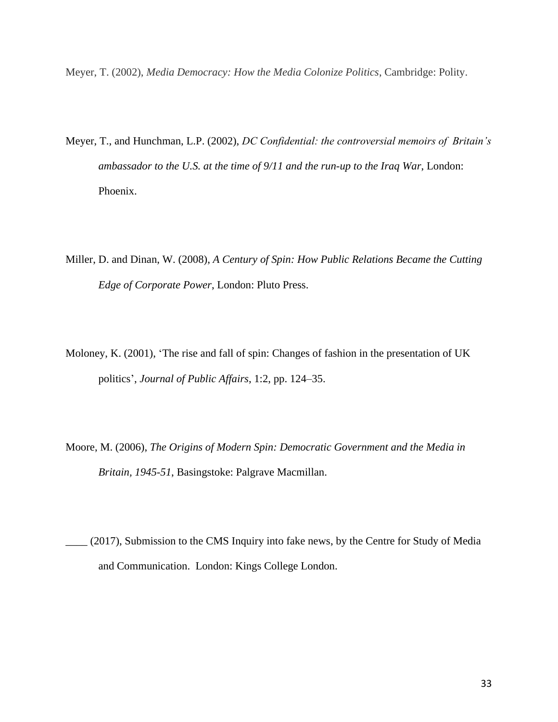Meyer, T. (2002), *Media Democracy: How the Media Colonize Politics*, Cambridge: Polity.

- Meyer, T., and Hunchman, L.P. (2002), *DC Confidential: the controversial memoirs of Britain's ambassador to the U.S. at the time of 9/11 and the run-up to the Iraq War*, London: Phoenix.
- Miller, D. and Dinan, W. (2008), *A Century of Spin: How Public Relations Became the Cutting Edge of Corporate Power*, London: Pluto Press.
- Moloney, K. (2001), 'The rise and fall of spin: Changes of fashion in the presentation of UK politics', *Journal of Public Affairs*, 1:2, pp. 124–35.
- Moore, M. (2006), *The Origins of Modern Spin: Democratic Government and the Media in Britain, 1945-51*, Basingstoke: Palgrave Macmillan.
- \_\_\_\_ (2017), Submission to the CMS Inquiry into fake news, by the Centre for Study of Media and Communication. London: Kings College London.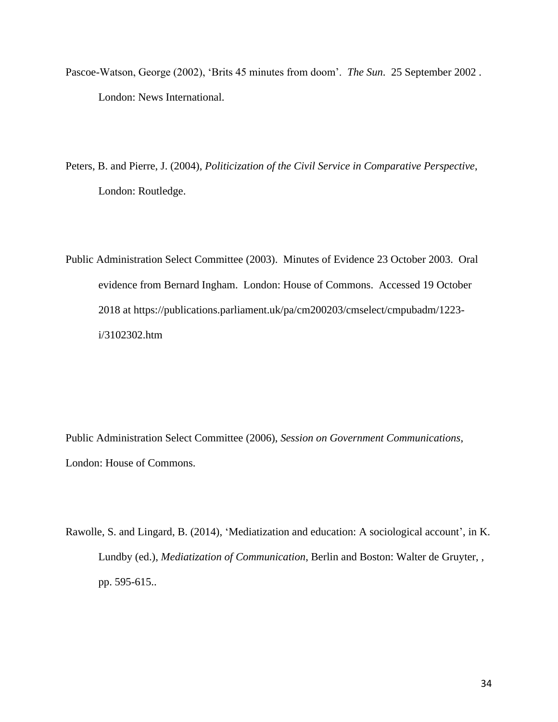- Pascoe-Watson, George (2002), 'Brits 45 minutes from doom'. *The Sun*. 25 September 2002 . London: News International.
- Peters, B. and Pierre, J. (2004), *Politicization of the Civil Service in Comparative Perspective*, London: Routledge.
- Public Administration Select Committee (2003). Minutes of Evidence 23 October 2003. Oral evidence from Bernard Ingham. London: House of Commons. Accessed 19 October 2018 at https://publications.parliament.uk/pa/cm200203/cmselect/cmpubadm/1223 i/3102302.htm

Public Administration Select Committee (2006), *Session on Government Communications*, London: House of Commons.

Rawolle, S. and Lingard, B. (2014), 'Mediatization and education: A sociological account', in K. Lundby (ed.), *Mediatization of Communication*, Berlin and Boston: Walter de Gruyter, , pp. 595-615..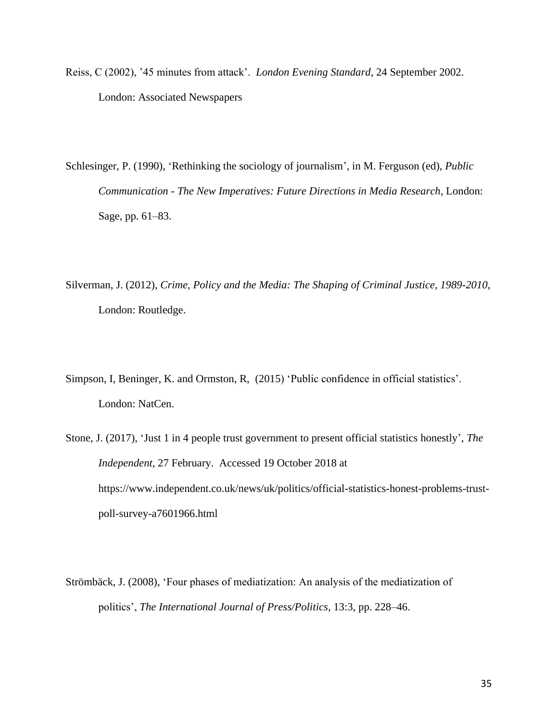Reiss, C (2002), '45 minutes from attack'. *London Evening Standard*, 24 September 2002. London: Associated Newspapers

Schlesinger, P. (1990), 'Rethinking the sociology of journalism', in M. Ferguson (ed), *Public Communication - The New Imperatives: Future Directions in Media Research*, London: Sage, pp. 61–83.

Silverman, J. (2012), *Crime, Policy and the Media: The Shaping of Criminal Justice, 1989-2010*, London: Routledge.

Simpson, I, Beninger, K. and Ormston, R, (2015) 'Public confidence in official statistics'. London: NatCen.

Stone, J. (2017), 'Just 1 in 4 people trust government to present official statistics honestly', *The Independent*, 27 February. Accessed 19 October 2018 at https://www.independent.co.uk/news/uk/politics/official-statistics-honest-problems-trustpoll-survey-a7601966.html

Strömbäck, J. (2008), 'Four phases of mediatization: An analysis of the mediatization of politics', *The International Journal of Press/Politics*, 13:3, pp. 228–46.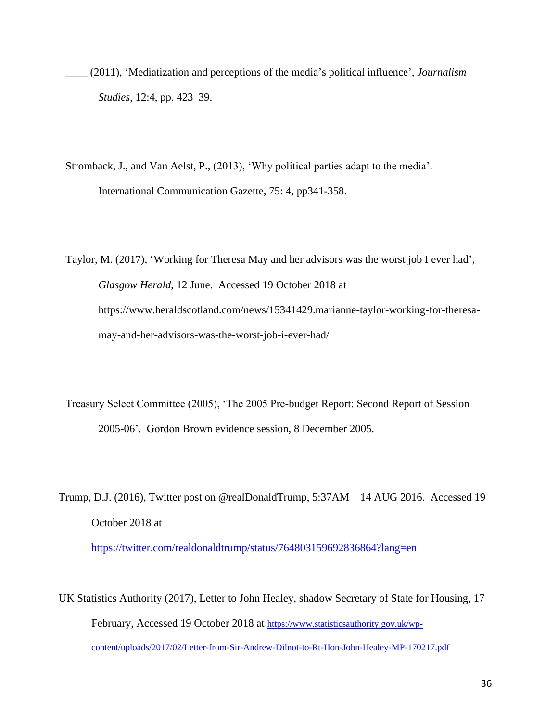- \_\_\_\_ (2011), 'Mediatization and perceptions of the media's political influence', *Journalism Studies*, 12:4, pp. 423–39.
- Stromback, J., and Van Aelst, P., (2013), 'Why political parties adapt to the media'. International Communication Gazette, 75: 4, pp341-358.
- Taylor, M. (2017), 'Working for Theresa May and her advisors was the worst job I ever had', *Glasgow Herald*, 12 June. Accessed 19 October 2018 at https://www.heraldscotland.com/news/15341429.marianne-taylor-working-for-theresamay-and-her-advisors-was-the-worst-job-i-ever-had/
- Treasury Select Committee (2005), 'The 2005 Pre-budget Report: Second Report of Session 2005-06'. Gordon Brown evidence session, 8 December 2005.
- Trump, D.J. (2016), Twitter post on @realDonaldTrump, 5:37AM 14 AUG 2016. Accessed 19 October 2018 at <https://twitter.com/realdonaldtrump/status/764803159692836864?lang=en>
- UK Statistics Authority (2017), Letter to John Healey, shadow Secretary of State for Housing, 17 February, Accessed 19 October 2018 at [https://www.statisticsauthority.gov.uk/wp](https://www.statisticsauthority.gov.uk/wp-content/uploads/2017/02/Letter-from-Sir-Andrew-Dilnot-to-Rt-Hon-John-Healey-MP-170217.pdf)[content/uploads/2017/02/Letter-from-Sir-Andrew-Dilnot-to-Rt-Hon-John-Healey-MP-170217.pdf](https://www.statisticsauthority.gov.uk/wp-content/uploads/2017/02/Letter-from-Sir-Andrew-Dilnot-to-Rt-Hon-John-Healey-MP-170217.pdf)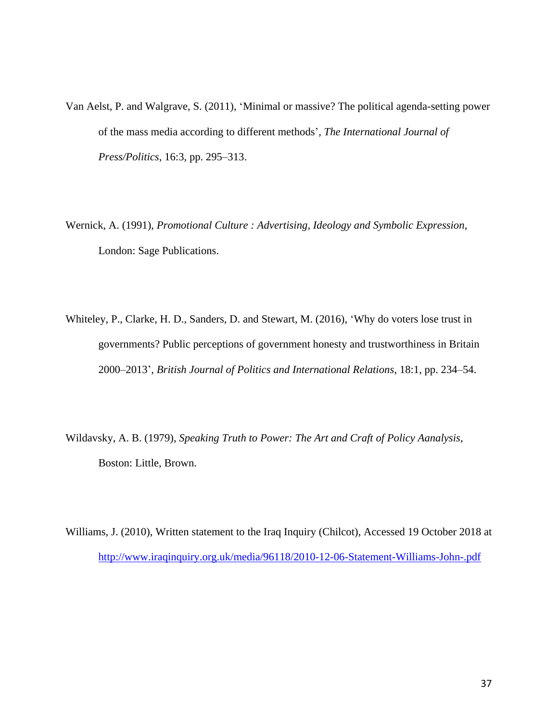- Van Aelst, P. and Walgrave, S. (2011), 'Minimal or massive? The political agenda-setting power of the mass media according to different methods', *The International Journal of Press/Politics*, 16:3, pp. 295–313.
- Wernick, A. (1991), *Promotional Culture : Advertising, Ideology and Symbolic Expression*, London: Sage Publications.
- Whiteley, P., Clarke, H. D., Sanders, D. and Stewart, M. (2016), 'Why do voters lose trust in governments? Public perceptions of government honesty and trustworthiness in Britain 2000–2013', *British Journal of Politics and International Relations*, 18:1, pp. 234–54.
- Wildavsky, A. B. (1979), *Speaking Truth to Power: The Art and Craft of Policy Aanalysis*, Boston: Little, Brown.

Williams, J. (2010), Written statement to the Iraq Inquiry (Chilcot), Accessed 19 October 2018 at <http://www.iraqinquiry.org.uk/media/96118/2010-12-06-Statement-Williams-John-.pdf>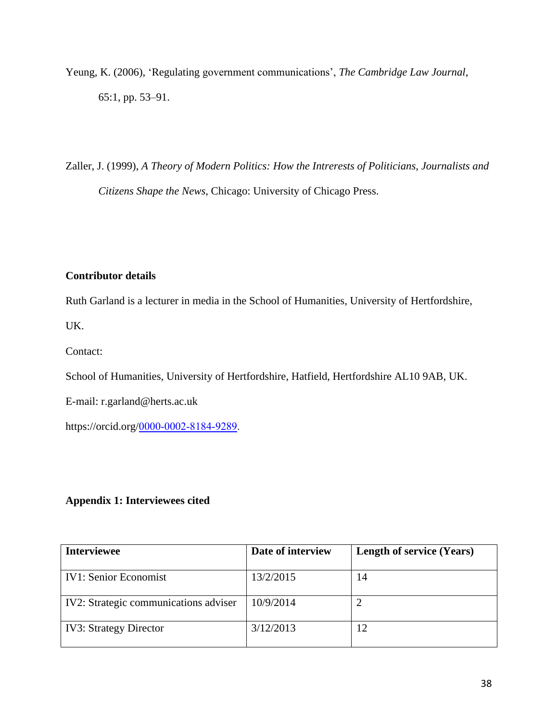Yeung, K. (2006), 'Regulating government communications', *The Cambridge Law Journal*, 65:1, pp. 53–91.

Zaller, J. (1999), *A Theory of Modern Politics: How the Intrerests of Politicians, Journalists and Citizens Shape the News*, Chicago: University of Chicago Press.

# **Contributor details**

Ruth Garland is a lecturer in media in the School of Humanities, University of Hertfordshire,

UK.

Contact:

School of Humanities, University of Hertfordshire, Hatfield, Hertfordshire AL10 9AB, UK.

E-mail: r.garland@herts.ac.uk

https://orcid.org/[0000-0002-8184-9289.](https://orcid.org/0000-0002-8184-9289)

# **Appendix 1: Interviewees cited**

| <b>Interviewee</b>                    | Date of interview | <b>Length of service (Years)</b> |
|---------------------------------------|-------------------|----------------------------------|
| <b>IV1: Senior Economist</b>          | 13/2/2015         | 14                               |
| IV2: Strategic communications adviser | 10/9/2014         |                                  |
| <b>IV3: Strategy Director</b>         | 3/12/2013         | 12                               |